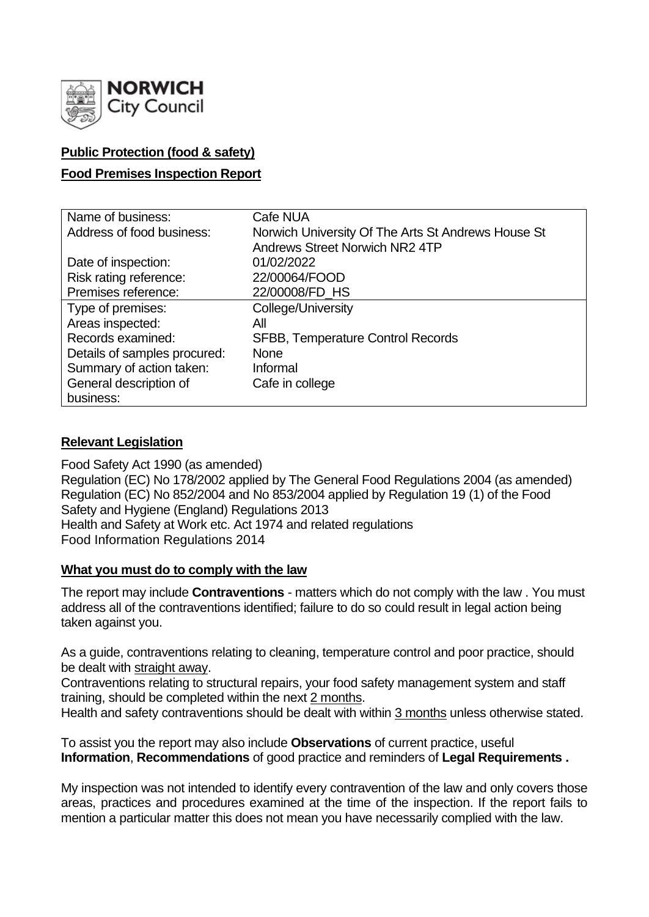

# **Public Protection (food & safety)**

## **Food Premises Inspection Report**

| Name of business:            | Cafe NUA                                           |  |  |  |  |
|------------------------------|----------------------------------------------------|--|--|--|--|
| Address of food business:    | Norwich University Of The Arts St Andrews House St |  |  |  |  |
|                              | Andrews Street Norwich NR2 4TP                     |  |  |  |  |
| Date of inspection:          | 01/02/2022                                         |  |  |  |  |
| Risk rating reference:       | 22/00064/FOOD                                      |  |  |  |  |
| Premises reference:          | 22/00008/FD_HS                                     |  |  |  |  |
| Type of premises:            | College/University                                 |  |  |  |  |
| Areas inspected:             | All                                                |  |  |  |  |
| Records examined:            | <b>SFBB, Temperature Control Records</b>           |  |  |  |  |
| Details of samples procured: | <b>None</b>                                        |  |  |  |  |
| Summary of action taken:     | Informal                                           |  |  |  |  |
| General description of       | Cafe in college                                    |  |  |  |  |
| business:                    |                                                    |  |  |  |  |

### **Relevant Legislation**

Food Safety Act 1990 (as amended) Regulation (EC) No 178/2002 applied by The General Food Regulations 2004 (as amended) Regulation (EC) No 852/2004 and No 853/2004 applied by Regulation 19 (1) of the Food Safety and Hygiene (England) Regulations 2013 Health and Safety at Work etc. Act 1974 and related regulations Food Information Regulations 2014

### **What you must do to comply with the law**

The report may include **Contraventions** - matters which do not comply with the law . You must address all of the contraventions identified; failure to do so could result in legal action being taken against you.

As a guide, contraventions relating to cleaning, temperature control and poor practice, should be dealt with straight away.

Contraventions relating to structural repairs, your food safety management system and staff training, should be completed within the next 2 months.

Health and safety contraventions should be dealt with within 3 months unless otherwise stated.

To assist you the report may also include **Observations** of current practice, useful **Information**, **Recommendations** of good practice and reminders of **Legal Requirements .**

My inspection was not intended to identify every contravention of the law and only covers those areas, practices and procedures examined at the time of the inspection. If the report fails to mention a particular matter this does not mean you have necessarily complied with the law.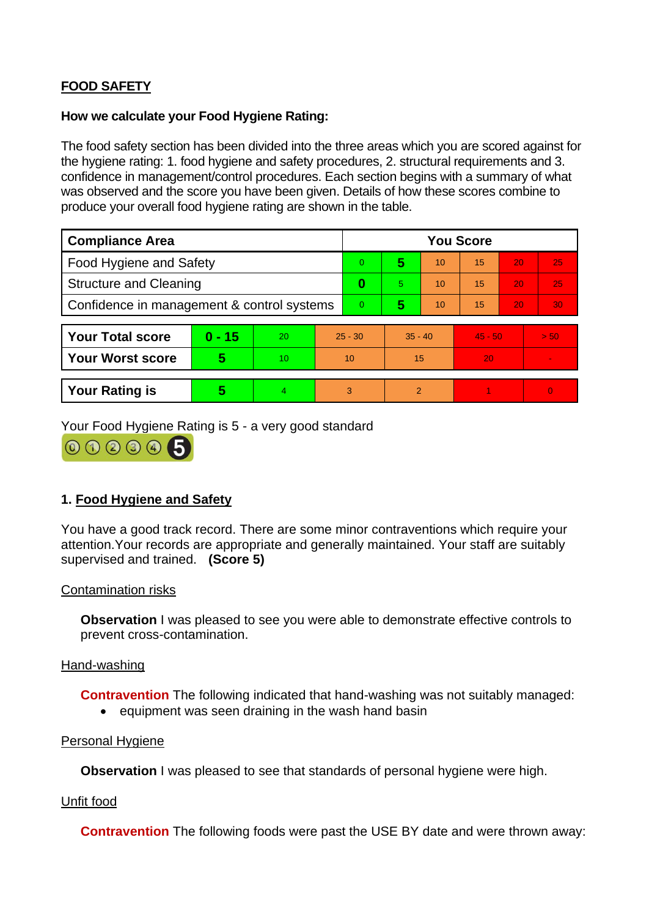# **FOOD SAFETY**

#### **How we calculate your Food Hygiene Rating:**

The food safety section has been divided into the three areas which you are scored against for the hygiene rating: 1. food hygiene and safety procedures, 2. structural requirements and 3. confidence in management/control procedures. Each section begins with a summary of what was observed and the score you have been given. Details of how these scores combine to produce your overall food hygiene rating are shown in the table.

| <b>Compliance Area</b>                     |          |    |           | <b>You Score</b> |                |    |           |    |                |  |  |
|--------------------------------------------|----------|----|-----------|------------------|----------------|----|-----------|----|----------------|--|--|
| Food Hygiene and Safety                    |          |    |           | 0                | 5              | 10 | 15        | 20 | 25             |  |  |
| <b>Structure and Cleaning</b>              |          |    | $\bf{0}$  | 5                | 10             | 15 | 20        | 25 |                |  |  |
| Confidence in management & control systems |          |    | 0         | 5                | 10             | 15 | 20        | 30 |                |  |  |
|                                            |          |    |           |                  |                |    |           |    |                |  |  |
| <b>Your Total score</b>                    | $0 - 15$ | 20 | $25 - 30$ |                  | $35 - 40$      |    | $45 - 50$ |    | > 50           |  |  |
| <b>Your Worst score</b>                    | 5        | 10 | 10        |                  | 15             |    | 20        |    |                |  |  |
|                                            |          |    |           |                  |                |    |           |    |                |  |  |
| <b>Your Rating is</b>                      | 5        | 4  |           | 3                | $\overline{2}$ |    |           |    | $\overline{0}$ |  |  |

Your Food Hygiene Rating is 5 - a very good standard



# **1. Food Hygiene and Safety**

You have a good track record. There are some minor contraventions which require your attention.Your records are appropriate and generally maintained. Your staff are suitably supervised and trained. **(Score 5)**

### Contamination risks

**Observation** I was pleased to see you were able to demonstrate effective controls to prevent cross-contamination.

### Hand-washing

**Contravention** The following indicated that hand-washing was not suitably managed:

• equipment was seen draining in the wash hand basin

#### Personal Hygiene

**Observation** I was pleased to see that standards of personal hygiene were high.

### Unfit food

**Contravention** The following foods were past the USE BY date and were thrown away: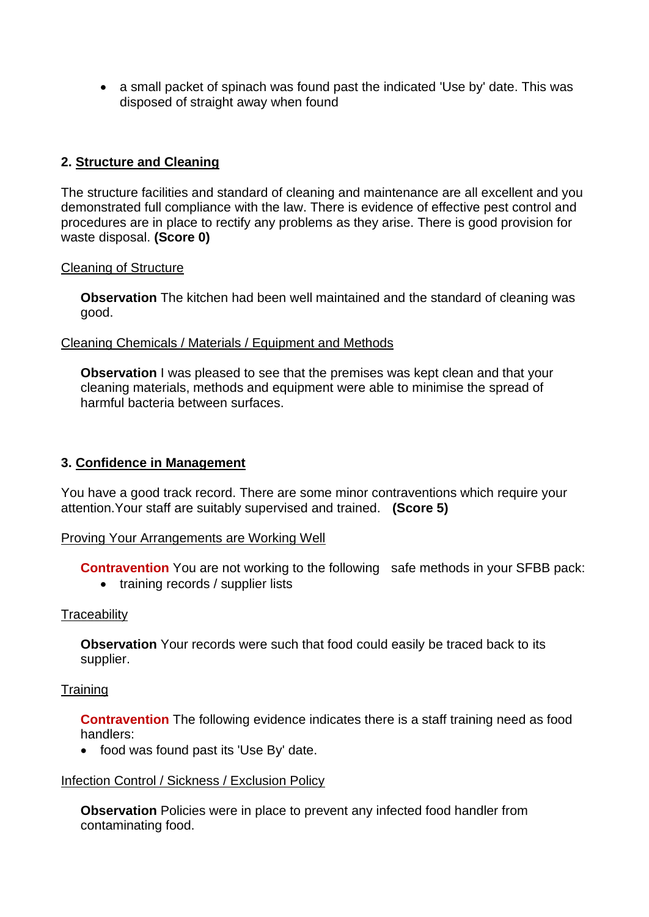• a small packet of spinach was found past the indicated 'Use by' date. This was disposed of straight away when found

# **2. Structure and Cleaning**

The structure facilities and standard of cleaning and maintenance are all excellent and you demonstrated full compliance with the law. There is evidence of effective pest control and procedures are in place to rectify any problems as they arise. There is good provision for waste disposal. **(Score 0)**

### Cleaning of Structure

**Observation** The kitchen had been well maintained and the standard of cleaning was good.

### Cleaning Chemicals / Materials / Equipment and Methods

**Observation** I was pleased to see that the premises was kept clean and that your cleaning materials, methods and equipment were able to minimise the spread of harmful bacteria between surfaces.

# **3. Confidence in Management**

You have a good track record. There are some minor contraventions which require your attention.Your staff are suitably supervised and trained. **(Score 5)**

### Proving Your Arrangements are Working Well

**Contravention** You are not working to the following safe methods in your SFBB pack:

• training records / supplier lists

### **Traceability**

**Observation** Your records were such that food could easily be traced back to its supplier.

### **Training**

**Contravention** The following evidence indicates there is a staff training need as food handlers:

• food was found past its 'Use By' date.

### Infection Control / Sickness / Exclusion Policy

**Observation** Policies were in place to prevent any infected food handler from contaminating food.